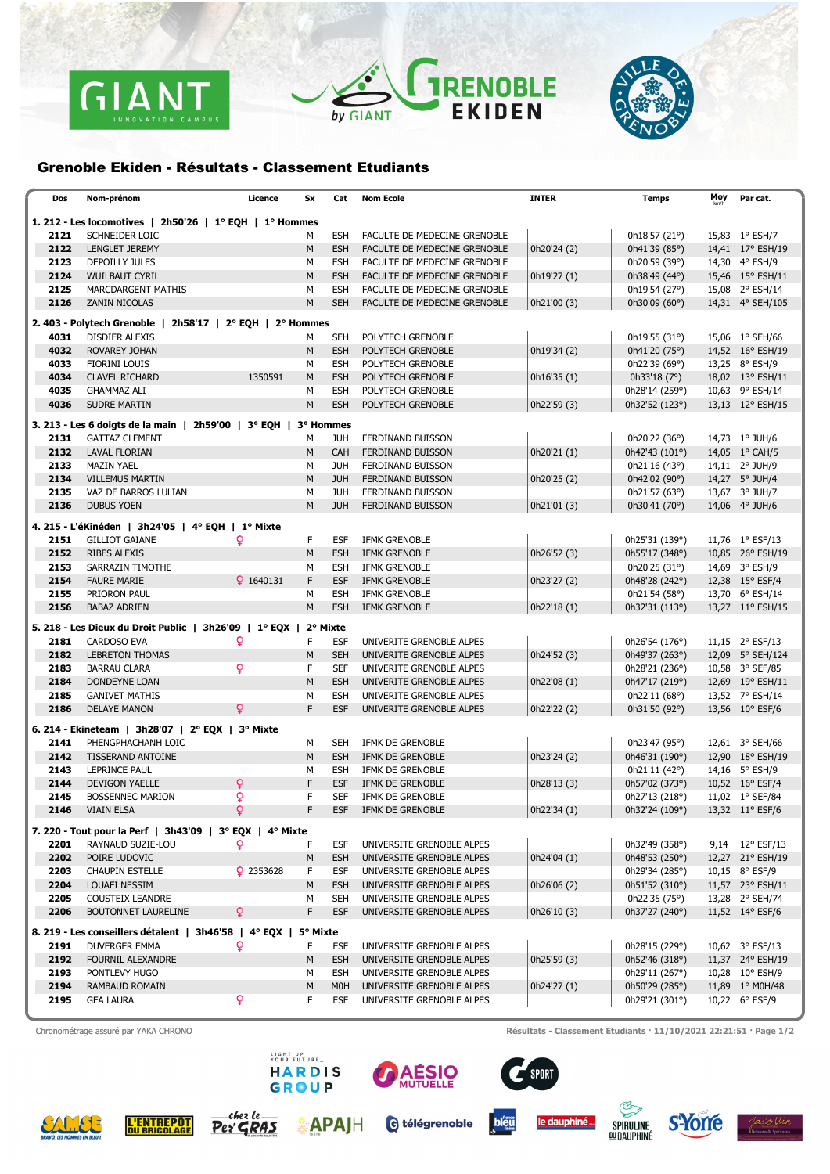

## TRENOBLE by GIANT



## Grenoble Ekiden - Résultats - Classement Etudiants

| Dos                                                       | Nom-prénom                                                                    | Licence     | Sx       | Cat                            | <b>Nom Ecole</b>                       | <b>INTER</b> | Temps                            | Moy | Par cat.                           |  |  |  |
|-----------------------------------------------------------|-------------------------------------------------------------------------------|-------------|----------|--------------------------------|----------------------------------------|--------------|----------------------------------|-----|------------------------------------|--|--|--|
| 1. 212 - Les locomotives   2h50'26   1° EQH   1° Hommes   |                                                                               |             |          |                                |                                        |              |                                  |     |                                    |  |  |  |
| 2121                                                      | SCHNEIDER LOIC                                                                |             | м        | <b>ESH</b>                     | FACULTE DE MEDECINE GRENOBLE           |              | 0h18'57(21°)                     |     | 15,83 1° ESH/7                     |  |  |  |
| 2122                                                      | <b>LENGLET JEREMY</b>                                                         |             | M        | <b>ESH</b>                     | FACULTE DE MEDECINE GRENOBLE           | 0h20'24 (2)  | 0h41'39 (85°)                    |     | 14,41 17° ESH/19                   |  |  |  |
| 2123                                                      | DEPOILLY JULES                                                                |             | м        | ESH                            | FACULTE DE MEDECINE GRENOBLE           |              | 0h20'59 (39°)                    |     | 14,30 4° ESH/9                     |  |  |  |
| 2124                                                      | <b>WUILBAUT CYRIL</b>                                                         |             | M        | <b>ESH</b>                     | FACULTE DE MEDECINE GRENOBLE           | 0h19'27 (1)  | 0h38'49 (44°)                    |     | 15,46 15° ESH/11                   |  |  |  |
| 2125                                                      | MARCDARGENT MATHIS                                                            |             | М        | <b>ESH</b>                     | FACULTE DE MEDECINE GRENOBLE           |              | 0h19'54 (27°)                    |     | 15,08 2° ESH/14                    |  |  |  |
| 2126                                                      | ZANIN NICOLAS                                                                 |             | M        | <b>SEH</b>                     | FACULTE DE MEDECINE GRENOBLE           | 0h21'00 (3)  | 0h30'09 (60°)                    |     | 14,31 4° SEH/105                   |  |  |  |
| 2. 403 - Polytech Grenoble   2h58'17   2° EQH   2° Hommes |                                                                               |             |          |                                |                                        |              |                                  |     |                                    |  |  |  |
|                                                           |                                                                               |             |          |                                |                                        |              |                                  |     |                                    |  |  |  |
| 4031                                                      | <b>DISDIER ALEXIS</b>                                                         |             | M        | SEH                            | POLYTECH GRENOBLE                      |              | 0h19'55 (31°)                    |     | 15,06 1° SEH/66                    |  |  |  |
| 4032<br>4033                                              | ROVAREY JOHAN<br>FIORINI LOUIS                                                |             | M<br>М   | <b>ESH</b><br><b>ESH</b>       | POLYTECH GRENOBLE                      | 0h19'34 (2)  | 0h41'20 (75°)<br>0h22'39 (69°)   |     | 14,52 16° ESH/19<br>13,25 8° ESH/9 |  |  |  |
| 4034                                                      | <b>CLAVEL RICHARD</b>                                                         | 1350591     | M        | <b>ESH</b>                     | POLYTECH GRENOBLE<br>POLYTECH GRENOBLE | 0h16'35 (1)  | 0h33'18 $(7°)$                   |     | 18,02 13° ESH/11                   |  |  |  |
| 4035                                                      | <b>GHAMMAZ ALI</b>                                                            |             | М        | <b>ESH</b>                     | POLYTECH GRENOBLE                      |              | 0h28'14 (259°)                   |     | 10,63 9° ESH/14                    |  |  |  |
| 4036                                                      | <b>SUDRE MARTIN</b>                                                           |             | M        | <b>ESH</b>                     | POLYTECH GRENOBLE                      | 0h22'59 (3)  | 0h32'52 (123°)                   |     | 13,13 12° ESH/15                   |  |  |  |
|                                                           |                                                                               |             |          |                                |                                        |              |                                  |     |                                    |  |  |  |
|                                                           | 3. 213 - Les 6 doigts de la main   2h59'00   3° EQH   3° Hommes               |             |          |                                |                                        |              |                                  |     |                                    |  |  |  |
| 2131                                                      | <b>GATTAZ CLEMENT</b>                                                         |             | м        | JUH                            | FERDINAND BUISSON                      |              | 0h20'22 (36°)                    |     | 14,73 1° JUH/6                     |  |  |  |
| 2132                                                      | <b>LAVAL FLORIAN</b>                                                          |             | M        | CAH                            | <b>FERDINAND BUISSON</b>               | 0h20'21 (1)  | 0h42'43 (101°)                   |     | 14,05 1° CAH/5                     |  |  |  |
| 2133                                                      | MAZIN YAEL                                                                    |             | М        | JUH                            | FERDINAND BUISSON                      |              | 0h21'16 (43°)                    |     | 14,11 2° JUH/9                     |  |  |  |
| 2134                                                      | <b>VILLEMUS MARTIN</b>                                                        |             | M        | <b>JUH</b>                     | FERDINAND BUISSON                      | 0h20'25 (2)  | 0h42'02 (90°)                    |     | 14,27 5° JUH/4                     |  |  |  |
| 2135                                                      | VAZ DE BARROS LULIAN                                                          |             | M        | <b>JUH</b>                     | FERDINAND BUISSON                      |              | 0h21'57 (63°)                    |     | 13,67 3° JUH/7                     |  |  |  |
| 2136                                                      | <b>DUBUS YOEN</b>                                                             |             | M        | <b>JUH</b>                     | FERDINAND BUISSON                      | 0h21'01 (3)  | 0h30'41 (70°)                    |     | 14,06 4° JUH/6                     |  |  |  |
|                                                           | 4. 215 - L'éKinéden   3h24'05   4° EQH   1° Mixte                             |             |          |                                |                                        |              |                                  |     |                                    |  |  |  |
| 2151                                                      | <b>GILLIOT GAIANE</b>                                                         | Q           | F        | ESF                            | IFMK GRENOBLE                          |              | 0h25'31 (139°)                   |     | 11,76 1° ESF/13                    |  |  |  |
| 2152                                                      | <b>RIBES ALEXIS</b>                                                           |             | M        | <b>ESH</b>                     | IFMK GRENOBLE                          | 0h26'52 (3)  | 0h55'17 (348°)                   |     | 10,85 26° ESH/19                   |  |  |  |
| 2153                                                      | SARRAZIN TIMOTHE                                                              |             | м        | <b>ESH</b>                     | IFMK GRENOBLE                          |              | 0h20'25 (31°)                    |     | 14,69 3° ESH/9                     |  |  |  |
| 2154                                                      | <b>FAURE MARIE</b>                                                            | $Q$ 1640131 | F        | <b>ESF</b>                     | IFMK GRENOBLE                          | 0h23'27 (2)  | 0h48'28 (242°)                   |     | 12,38 15° ESF/4                    |  |  |  |
| 2155                                                      | PRIORON PAUL                                                                  |             | М        | <b>ESH</b>                     | IFMK GRENOBLE                          |              | 0h21'54 (58°)                    |     | 13,70 6° ESH/14                    |  |  |  |
| 2156                                                      | <b>BABAZ ADRIEN</b>                                                           |             | M        | <b>ESH</b>                     | <b>IFMK GRENOBLE</b>                   | 0h22'18(1)   | 0h32'31 (113°)                   |     | 13,27 11° ESH/15                   |  |  |  |
|                                                           | 5. 218 - Les Dieux du Droit Public   3h26'09   1º EQX                         |             | 2° Mixte |                                |                                        |              |                                  |     |                                    |  |  |  |
| 2181                                                      | CARDOSO EVA                                                                   | Q           | F        | ESF                            | UNIVERITE GRENOBLE ALPES               |              | 0h26'54 (176°)                   |     | 11,15 2° ESF/13                    |  |  |  |
| 2182                                                      | <b>LEBRETON THOMAS</b>                                                        |             | M        | <b>SEH</b>                     | UNIVERITE GRENOBLE ALPES               | 0h24'52 (3)  | 0h49'37 (263°)                   |     | 12,09 5° SEH/124                   |  |  |  |
| 2183                                                      | <b>BARRAU CLARA</b>                                                           | Q           | F        | SEF                            | UNIVERITE GRENOBLE ALPES               |              | 0h28'21 (236°)                   |     | 10,58 3° SEF/85                    |  |  |  |
| 2184                                                      | <b>DONDEYNE LOAN</b>                                                          |             | M        | <b>ESH</b>                     | UNIVERITE GRENOBLE ALPES               | 0h22'08 (1)  | 0h47'17 (219°)                   |     | 12,69 19° ESH/11                   |  |  |  |
| 2185                                                      | <b>GANIVET MATHIS</b>                                                         |             | М        | ESH                            | UNIVERITE GRENOBLE ALPES               |              | 0h22'11 $(68°)$                  |     | 13,52 7° ESH/14                    |  |  |  |
| 2186                                                      | <b>DELAYE MANON</b>                                                           | Q           | F        | <b>ESF</b>                     | UNIVERITE GRENOBLE ALPES               | 0h22'22 (2)  | 0h31'50 (92°)                    |     | 13,56 10° ESF/6                    |  |  |  |
|                                                           | 6. 214 - Ekineteam   3h28'07   2° EQX   3° Mixte                              |             |          |                                |                                        |              |                                  |     |                                    |  |  |  |
| 2141                                                      | PHENGPHACHANH LOIC                                                            |             | м        | SEH                            | IFMK DE GRENOBLE                       |              | 0h23'47 (95°)                    |     | 12,61 3° SEH/66                    |  |  |  |
| 2142                                                      | TISSERAND ANTOINE                                                             |             | M        | <b>ESH</b>                     | IFMK DE GRENOBLE                       | 0h23'24 (2)  | 0h46'31 (190°)                   |     | 12,90 18° ESH/19                   |  |  |  |
| 2143                                                      | LEPRINCE PAUL                                                                 |             | М        | <b>ESH</b>                     | IFMK DE GRENOBLE                       |              | 0h21'11 (42°)                    |     | 14,16 5° ESH/9                     |  |  |  |
| 2144                                                      | <b>DEVIGON YAELLE</b>                                                         | Q           | F        | <b>ESF</b>                     | IFMK DE GRENOBLE                       | 0h28'13 (3)  | 0h57'02 (373°)                   |     | 10,52 16° ESF/4                    |  |  |  |
| 2145                                                      | <b>BOSSENNEC MARION</b>                                                       | Q           | F        | <b>SEF</b>                     | IFMK DE GRENOBLE                       |              | 0h27'13 (218°)                   |     | 11,02 1° SEF/84                    |  |  |  |
| 2146                                                      | <b>VIAIN ELSA</b>                                                             | Q           | F        | <b>ESF</b>                     | IFMK DE GRENOBLE                       | 0h22'34 (1)  | 0h32'24 (109°)                   |     | 13,32 11° ESF/6                    |  |  |  |
|                                                           |                                                                               |             |          |                                |                                        |              |                                  |     |                                    |  |  |  |
| 2201                                                      | 7. 220 - Tout pour la Perf   3h43'09   3° EQX   4° Mixte<br>RAYNAUD SUZIE-LOU | Q           | F        | ESF                            | UNIVERSITE GRENOBLE ALPES              |              | 0h32'49 (358°)                   |     | 9,14 12° ESF/13                    |  |  |  |
| 2202                                                      | POIRE LUDOVIC                                                                 |             | М        | <b>ESH</b>                     | UNIVERSITE GRENOBLE ALPES              | 0h24'04 (1)  | 0h48'53 (250°)                   |     | 12,27 21° ESH/19                   |  |  |  |
| 2203                                                      | <b>CHAUPIN ESTELLE</b>                                                        | 92353628    | F        | ESF                            | UNIVERSITE GRENOBLE ALPES              |              | 0h29'34 (285°)                   |     | 10,15 8° ESF/9                     |  |  |  |
| 2204                                                      | LOUAFI NESSIM                                                                 |             | M        | <b>ESH</b>                     | UNIVERSITE GRENOBLE ALPES              | 0h26'06 (2)  | 0h51'52 (310°)                   |     | 11,57 23° ESH/11                   |  |  |  |
| 2205                                                      | <b>COUSTEIX LEANDRE</b>                                                       |             | М        | SEH                            | UNIVERSITE GRENOBLE ALPES              |              | 0h22'35 (75°)                    |     | 13,28 2° SEH/74                    |  |  |  |
| 2206                                                      | BOUTONNET LAURELINE                                                           | Q           | F        | <b>ESF</b>                     | UNIVERSITE GRENOBLE ALPES              | 0h26'10 (3)  | 0h37'27 (240°)                   |     | 11,52 14° ESF/6                    |  |  |  |
|                                                           |                                                                               |             |          |                                |                                        |              |                                  |     |                                    |  |  |  |
|                                                           | 8. 219 - Les conseillers détalent   3h46'58   4° EQX   5° Mixte               |             |          |                                |                                        |              |                                  |     |                                    |  |  |  |
| 2191                                                      | DUVERGER EMMA                                                                 | Q           | F        | ESF                            | UNIVERSITE GRENOBLE ALPES              |              | 0h28'15 (229°)                   |     | 10,62 3° ESF/13                    |  |  |  |
| 2192                                                      | FOURNIL ALEXANDRE                                                             |             | М        | <b>ESH</b>                     | UNIVERSITE GRENOBLE ALPES              | 0h25'59 (3)  | 0h52'46 (318°)                   |     | 11,37 24° ESH/19                   |  |  |  |
| 2193                                                      | PONTLEVY HUGO                                                                 |             | м        | ESH                            | UNIVERSITE GRENOBLE ALPES              |              | 0h29'11 (267°)                   |     | 10,28 10° ESH/9                    |  |  |  |
| 2194<br>2195                                              | RAMBAUD ROMAIN                                                                |             | M<br>F   | M <sub>0</sub> H<br><b>ESF</b> | UNIVERSITE GRENOBLE ALPES              | 0h24'27 (1)  | 0h50'29 (285°)<br>0h29'21 (301°) |     | 11,89 1° M0H/48                    |  |  |  |
|                                                           | <b>GEA LAURA</b>                                                              | Q           |          |                                | UNIVERSITE GRENOBLE ALPES              |              |                                  |     | 10,22 6° ESF/9                     |  |  |  |

Chronométrage assuré par YAKA CHRONO Résultats - Classement Etudiants · 11/10/2021 22:21:51 · Page 1/2

**L'ENTREPÔT** 

Per<sup>c</sup>

**RAS** 



LIGHT UP<br>YOUR FUTURE\_

**GROUP** 

**APAJH**